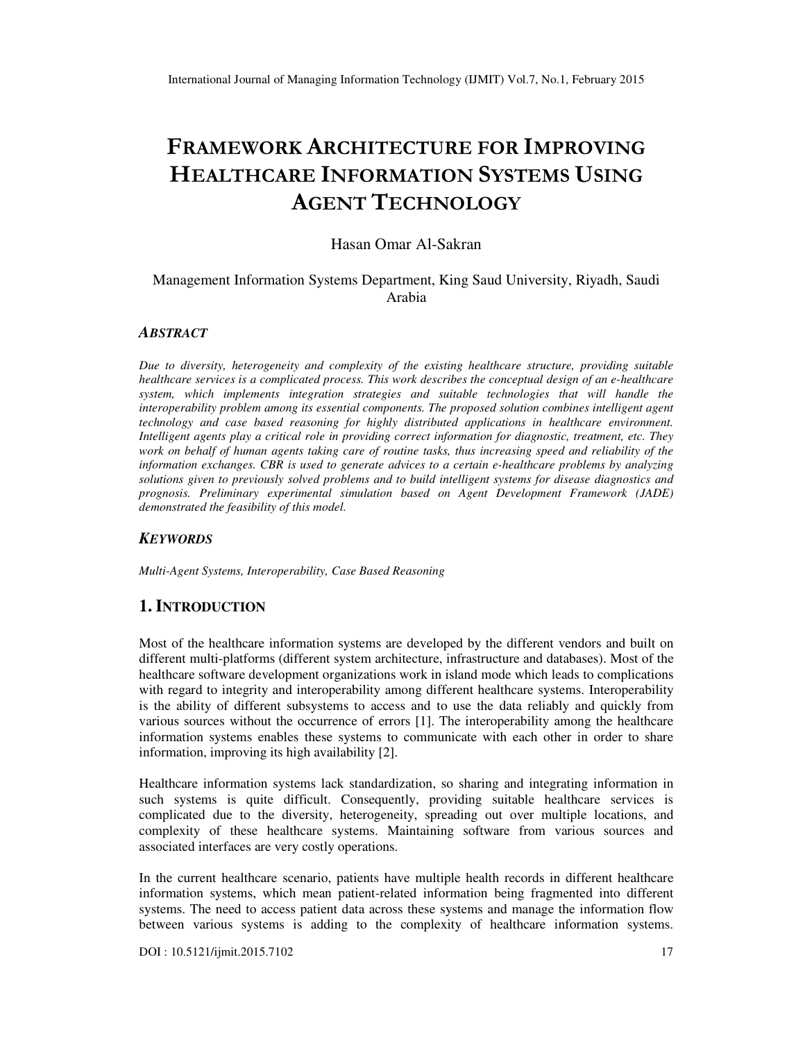# FRAMEWORK ARCHITECTURE FOR IMPROVING HEALTHCARE INFORMATION SYSTEMS USING AGENT TECHNOLOGY

#### Hasan Omar Al-Sakran

## Management Information Systems Department, King Saud University, Riyadh, Saudi Arabia

#### *ABSTRACT*

*Due to diversity, heterogeneity and complexity of the existing healthcare structure, providing suitable healthcare services is a complicated process. This work describes the conceptual design of an e-healthcare system, which implements integration strategies and suitable technologies that will handle the interoperability problem among its essential components. The proposed solution combines intelligent agent technology and case based reasoning for highly distributed applications in healthcare environment. Intelligent agents play a critical role in providing correct information for diagnostic, treatment, etc. They work on behalf of human agents taking care of routine tasks, thus increasing speed and reliability of the information exchanges. CBR is used to generate advices to a certain e-healthcare problems by analyzing solutions given to previously solved problems and to build intelligent systems for disease diagnostics and prognosis. Preliminary experimental simulation based on Agent Development Framework (JADE) demonstrated the feasibility of this model.* 

#### *KEYWORDS*

*Multi-Agent Systems, Interoperability, Case Based Reasoning* 

# **1. INTRODUCTION**

Most of the healthcare information systems are developed by the different vendors and built on different multi-platforms (different system architecture, infrastructure and databases). Most of the healthcare software development organizations work in island mode which leads to complications with regard to integrity and interoperability among different healthcare systems. Interoperability is the ability of different subsystems to access and to use the data reliably and quickly from various sources without the occurrence of errors [1]. The interoperability among the healthcare information systems enables these systems to communicate with each other in order to share information, improving its high availability [2].

Healthcare information systems lack standardization, so sharing and integrating information in such systems is quite difficult. Consequently, providing suitable healthcare services is complicated due to the diversity, heterogeneity, spreading out over multiple locations, and complexity of these healthcare systems. Maintaining software from various sources and associated interfaces are very costly operations.

In the current healthcare scenario, patients have multiple health records in different healthcare information systems, which mean patient-related information being fragmented into different systems. The need to access patient data across these systems and manage the information flow between various systems is adding to the complexity of healthcare information systems.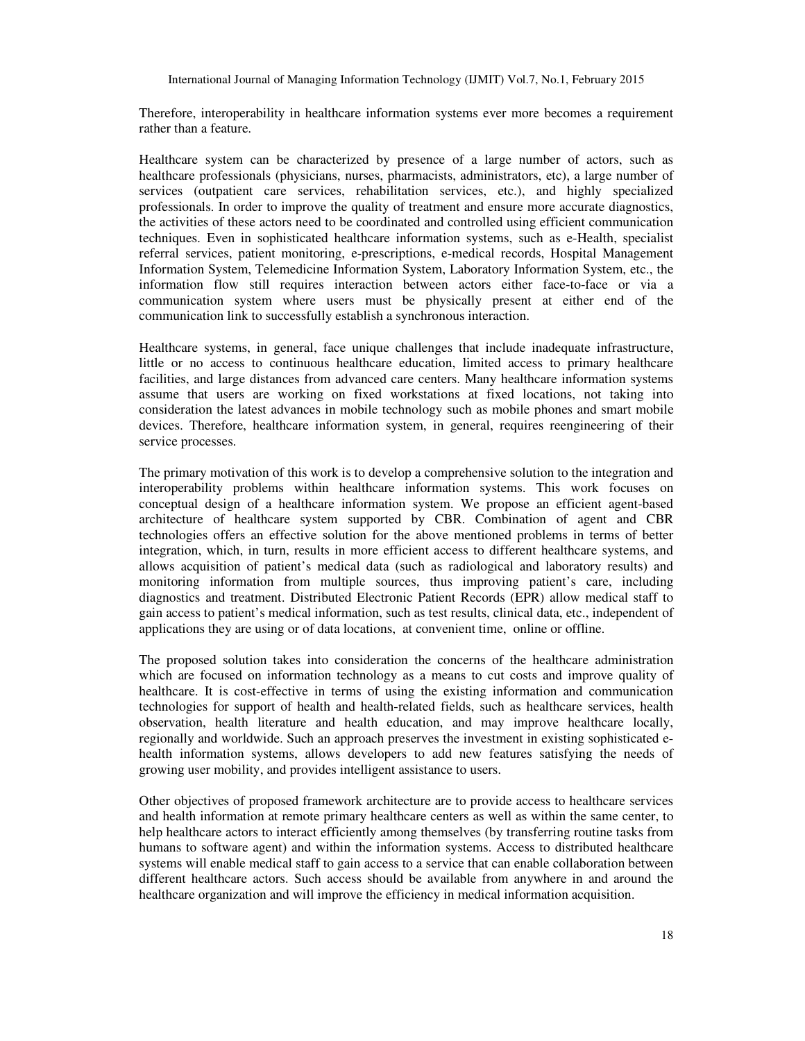Therefore, interoperability in healthcare information systems ever more becomes a requirement rather than a feature.

Healthcare system can be characterized by presence of a large number of actors, such as healthcare professionals (physicians, nurses, pharmacists, administrators, etc), a large number of services (outpatient care services, rehabilitation services, etc.), and highly specialized professionals. In order to improve the quality of treatment and ensure more accurate diagnostics, the activities of these actors need to be coordinated and controlled using efficient communication techniques. Even in sophisticated healthcare information systems, such as e-Health, specialist referral services, patient monitoring, e-prescriptions, e-medical records, Hospital Management Information System, Telemedicine Information System, Laboratory Information System, etc., the information flow still requires interaction between actors either face-to-face or via a communication system where users must be physically present at either end of the communication link to successfully establish a synchronous interaction.

Healthcare systems, in general, face unique challenges that include inadequate infrastructure, little or no access to continuous healthcare education, limited access to primary healthcare facilities, and large distances from advanced care centers. Many healthcare information systems assume that users are working on fixed workstations at fixed locations, not taking into consideration the latest advances in mobile technology such as mobile phones and smart mobile devices. Therefore, healthcare information system, in general, requires reengineering of their service processes.

The primary motivation of this work is to develop a comprehensive solution to the integration and interoperability problems within healthcare information systems. This work focuses on conceptual design of a healthcare information system. We propose an efficient agent-based architecture of healthcare system supported by CBR. Combination of agent and CBR technologies offers an effective solution for the above mentioned problems in terms of better integration, which, in turn, results in more efficient access to different healthcare systems, and allows acquisition of patient's medical data (such as radiological and laboratory results) and monitoring information from multiple sources, thus improving patient's care, including diagnostics and treatment. Distributed Electronic Patient Records (EPR) allow medical staff to gain access to patient's medical information, such as test results, clinical data, etc., independent of applications they are using or of data locations, at convenient time, online or offline.

The proposed solution takes into consideration the concerns of the healthcare administration which are focused on information technology as a means to cut costs and improve quality of healthcare. It is cost-effective in terms of using the existing information and communication technologies for support of health and health-related fields, such as healthcare services, health observation, health literature and health education, and may improve healthcare locally, regionally and worldwide. Such an approach preserves the investment in existing sophisticated ehealth information systems, allows developers to add new features satisfying the needs of growing user mobility, and provides intelligent assistance to users.

Other objectives of proposed framework architecture are to provide access to healthcare services and health information at remote primary healthcare centers as well as within the same center, to help healthcare actors to interact efficiently among themselves (by transferring routine tasks from humans to software agent) and within the information systems. Access to distributed healthcare systems will enable medical staff to gain access to a service that can enable collaboration between different healthcare actors. Such access should be available from anywhere in and around the healthcare organization and will improve the efficiency in medical information acquisition.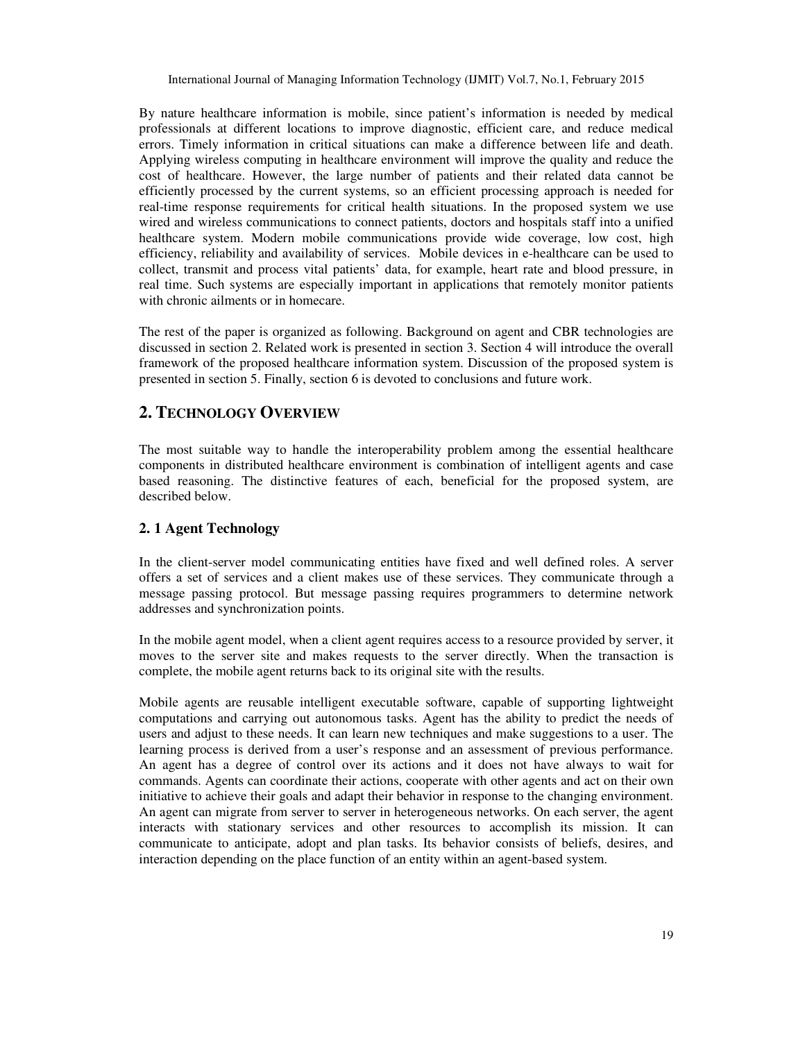By nature healthcare information is mobile, since patient's information is needed by medical professionals at different locations to improve diagnostic, efficient care, and reduce medical errors. Timely information in critical situations can make a difference between life and death. Applying wireless computing in healthcare environment will improve the quality and reduce the cost of healthcare. However, the large number of patients and their related data cannot be efficiently processed by the current systems, so an efficient processing approach is needed for real-time response requirements for critical health situations. In the proposed system we use wired and wireless communications to connect patients, doctors and hospitals staff into a unified healthcare system. Modern mobile communications provide wide coverage, low cost, high efficiency, reliability and availability of services. Mobile devices in e-healthcare can be used to collect, transmit and process vital patients' data, for example, heart rate and blood pressure, in real time. Such systems are especially important in applications that remotely monitor patients with chronic ailments or in homecare.

The rest of the paper is organized as following. Background on agent and CBR technologies are discussed in section 2. Related work is presented in section 3. Section 4 will introduce the overall framework of the proposed healthcare information system. Discussion of the proposed system is presented in section 5. Finally, section 6 is devoted to conclusions and future work.

# **2. TECHNOLOGY OVERVIEW**

The most suitable way to handle the interoperability problem among the essential healthcare components in distributed healthcare environment is combination of intelligent agents and case based reasoning. The distinctive features of each, beneficial for the proposed system, are described below.

# **2. 1 Agent Technology**

In the client-server model communicating entities have fixed and well defined roles. A server offers a set of services and a client makes use of these services. They communicate through a message passing protocol. But message passing requires programmers to determine network addresses and synchronization points.

In the mobile agent model, when a client agent requires access to a resource provided by server, it moves to the server site and makes requests to the server directly. When the transaction is complete, the mobile agent returns back to its original site with the results.

Mobile agents are reusable intelligent executable software, capable of supporting lightweight computations and carrying out autonomous tasks. Agent has the ability to predict the needs of users and adjust to these needs. It can learn new techniques and make suggestions to a user. The learning process is derived from a user's response and an assessment of previous performance. An agent has a degree of control over its actions and it does not have always to wait for commands. Agents can coordinate their actions, cooperate with other agents and act on their own initiative to achieve their goals and adapt their behavior in response to the changing environment. An agent can migrate from server to server in heterogeneous networks. On each server, the agent interacts with stationary services and other resources to accomplish its mission. It can communicate to anticipate, adopt and plan tasks. Its behavior consists of beliefs, desires, and interaction depending on the place function of an entity within an agent-based system.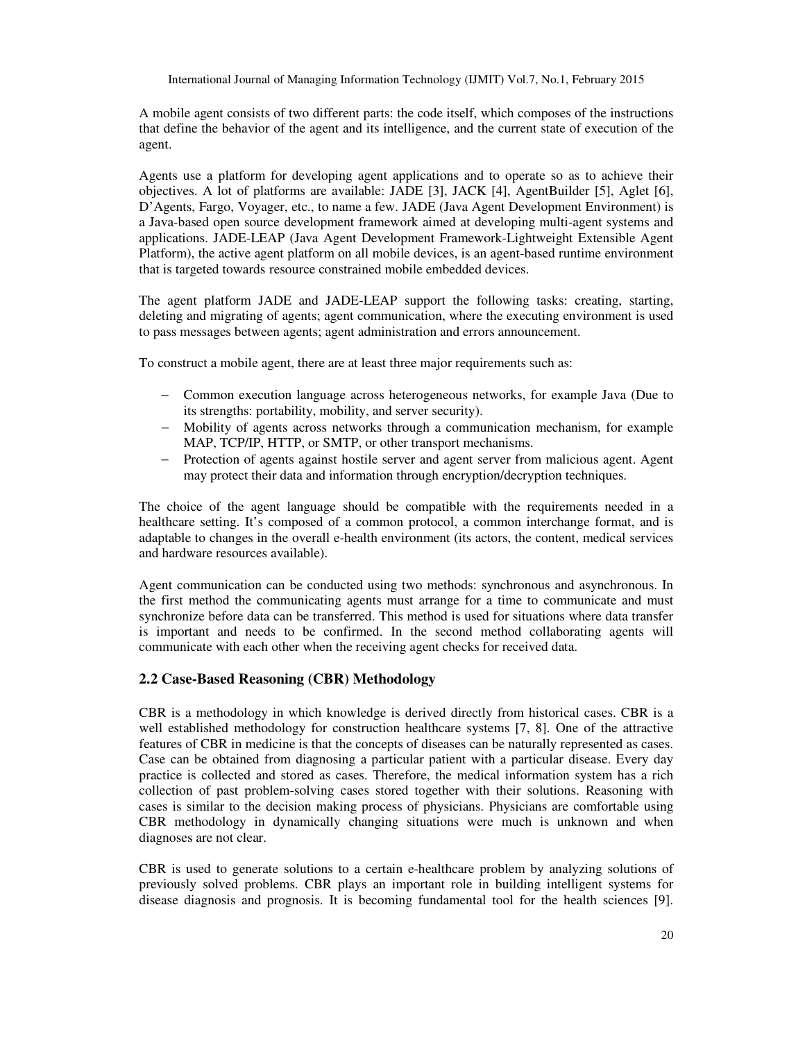A mobile agent consists of two different parts: the code itself, which composes of the instructions that define the behavior of the agent and its intelligence, and the current state of execution of the agent.

Agents use a platform for developing agent applications and to operate so as to achieve their objectives. A lot of platforms are available: JADE [3], JACK [4], AgentBuilder [5], Aglet [6], D'Agents, Fargo, Voyager, etc., to name a few. JADE (Java Agent Development Environment) is a Java-based open source development framework aimed at developing multi-agent systems and applications. JADE-LEAP (Java Agent Development Framework-Lightweight Extensible Agent Platform), the active agent platform on all mobile devices, is an agent-based runtime environment that is targeted towards resource constrained mobile embedded devices.

The agent platform JADE and JADE-LEAP support the following tasks: creating, starting, deleting and migrating of agents; agent communication, where the executing environment is used to pass messages between agents; agent administration and errors announcement.

To construct a mobile agent, there are at least three major requirements such as:

- − Common execution language across heterogeneous networks, for example Java (Due to its strengths: portability, mobility, and server security).
- − Mobility of agents across networks through a communication mechanism, for example MAP, TCP/IP, HTTP, or SMTP, or other transport mechanisms.
- − Protection of agents against hostile server and agent server from malicious agent. Agent may protect their data and information through encryption/decryption techniques.

The choice of the agent language should be compatible with the requirements needed in a healthcare setting. It's composed of a common protocol, a common interchange format, and is adaptable to changes in the overall e-health environment (its actors, the content, medical services and hardware resources available).

Agent communication can be conducted using two methods: synchronous and asynchronous. In the first method the communicating agents must arrange for a time to communicate and must synchronize before data can be transferred. This method is used for situations where data transfer is important and needs to be confirmed. In the second method collaborating agents will communicate with each other when the receiving agent checks for received data.

# **2.2 Case-Based Reasoning (CBR) Methodology**

CBR is a methodology in which knowledge is derived directly from historical cases. CBR is a well established methodology for construction healthcare systems [7, 8]. One of the attractive features of CBR in medicine is that the concepts of diseases can be naturally represented as cases. Case can be obtained from diagnosing a particular patient with a particular disease. Every day practice is collected and stored as cases. Therefore, the medical information system has a rich collection of past problem-solving cases stored together with their solutions. Reasoning with cases is similar to the decision making process of physicians. Physicians are comfortable using CBR methodology in dynamically changing situations were much is unknown and when diagnoses are not clear.

CBR is used to generate solutions to a certain e-healthcare problem by analyzing solutions of previously solved problems. CBR plays an important role in building intelligent systems for disease diagnosis and prognosis. It is becoming fundamental tool for the health sciences [9].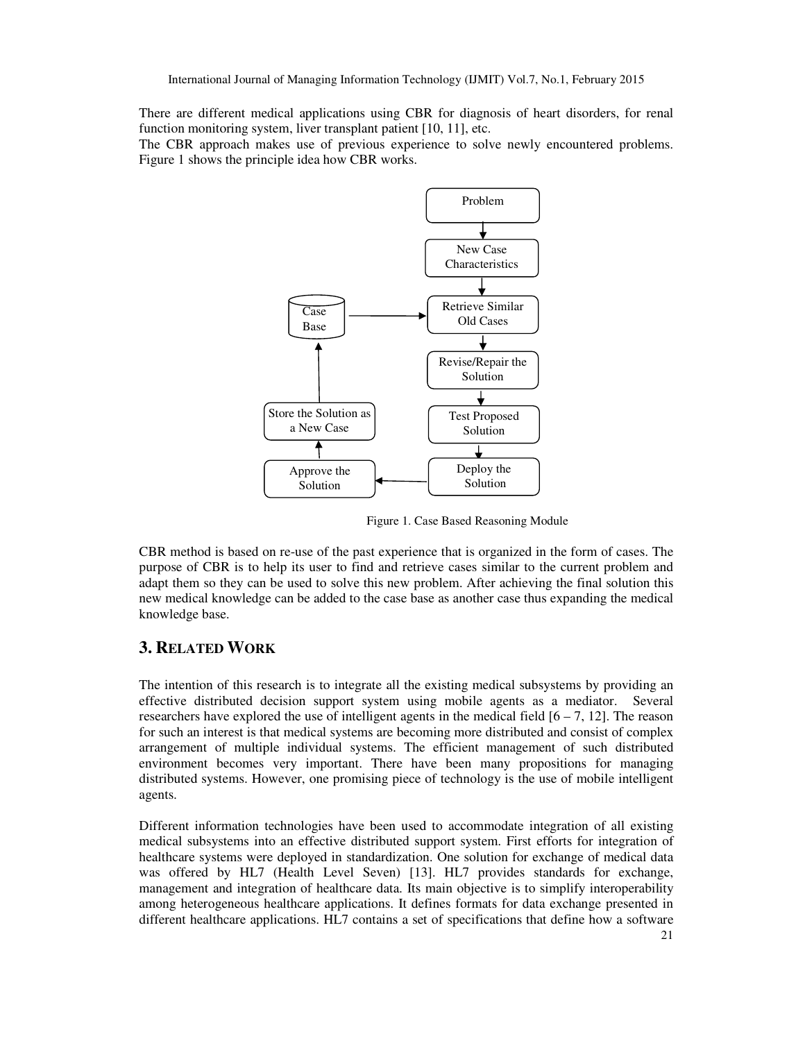There are different medical applications using CBR for diagnosis of heart disorders, for renal function monitoring system, liver transplant patient [10, 11], etc.

The CBR approach makes use of previous experience to solve newly encountered problems. Figure 1 shows the principle idea how CBR works.



Figure 1. Case Based Reasoning Module

CBR method is based on re-use of the past experience that is organized in the form of cases. The purpose of CBR is to help its user to find and retrieve cases similar to the current problem and adapt them so they can be used to solve this new problem. After achieving the final solution this new medical knowledge can be added to the case base as another case thus expanding the medical knowledge base.

# **3. RELATED WORK**

The intention of this research is to integrate all the existing medical subsystems by providing an effective distributed decision support system using mobile agents as a mediator. Several researchers have explored the use of intelligent agents in the medical field  $[6 - 7, 12]$ . The reason for such an interest is that medical systems are becoming more distributed and consist of complex arrangement of multiple individual systems. The efficient management of such distributed environment becomes very important. There have been many propositions for managing distributed systems. However, one promising piece of technology is the use of mobile intelligent agents.

Different information technologies have been used to accommodate integration of all existing medical subsystems into an effective distributed support system. First efforts for integration of healthcare systems were deployed in standardization. One solution for exchange of medical data was offered by HL7 (Health Level Seven) [13]. HL7 provides standards for exchange, management and integration of healthcare data. Its main objective is to simplify interoperability among heterogeneous healthcare applications. It defines formats for data exchange presented in different healthcare applications. HL7 contains a set of specifications that define how a software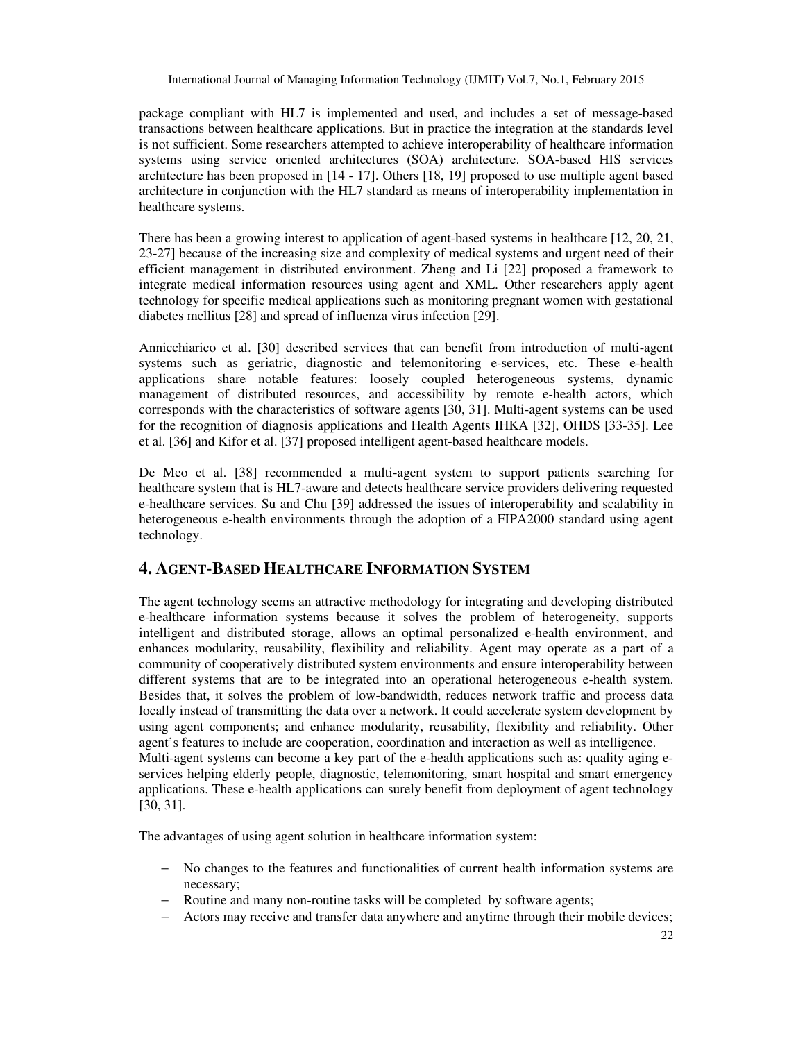package compliant with HL7 is implemented and used, and includes a set of message-based transactions between healthcare applications. But in practice the integration at the standards level is not sufficient. Some researchers attempted to achieve interoperability of healthcare information systems using service oriented architectures (SOA) architecture. SOA-based HIS services architecture has been proposed in [14 - 17]. Others [18, 19] proposed to use multiple agent based architecture in conjunction with the HL7 standard as means of interoperability implementation in healthcare systems.

There has been a growing interest to application of agent-based systems in healthcare [12, 20, 21, 23-27] because of the increasing size and complexity of medical systems and urgent need of their efficient management in distributed environment. Zheng and Li [22] proposed a framework to integrate medical information resources using agent and XML. Other researchers apply agent technology for specific medical applications such as monitoring pregnant women with gestational diabetes mellitus [28] and spread of influenza virus infection [29].

Annicchiarico et al. [30] described services that can benefit from introduction of multi-agent systems such as geriatric, diagnostic and telemonitoring e-services, etc. These e-health applications share notable features: loosely coupled heterogeneous systems, dynamic management of distributed resources, and accessibility by remote e-health actors, which corresponds with the characteristics of software agents [30, 31]. Multi-agent systems can be used for the recognition of diagnosis applications and Health Agents IHKA [32], OHDS [33-35]. Lee et al. [36] and Kifor et al. [37] proposed intelligent agent-based healthcare models.

De Meo et al. [38] recommended a multi-agent system to support patients searching for healthcare system that is HL7-aware and detects healthcare service providers delivering requested e-healthcare services. Su and Chu [39] addressed the issues of interoperability and scalability in heterogeneous e-health environments through the adoption of a FIPA2000 standard using agent technology.

# **4. AGENT-BASED HEALTHCARE INFORMATION SYSTEM**

The agent technology seems an attractive methodology for integrating and developing distributed e-healthcare information systems because it solves the problem of heterogeneity, supports intelligent and distributed storage, allows an optimal personalized e-health environment, and enhances modularity, reusability, flexibility and reliability. Agent may operate as a part of a community of cooperatively distributed system environments and ensure interoperability between different systems that are to be integrated into an operational heterogeneous e-health system. Besides that, it solves the problem of low-bandwidth, reduces network traffic and process data locally instead of transmitting the data over a network. It could accelerate system development by using agent components; and enhance modularity, reusability, flexibility and reliability. Other agent's features to include are cooperation, coordination and interaction as well as intelligence. Multi-agent systems can become a key part of the e-health applications such as: quality aging eservices helping elderly people, diagnostic, telemonitoring, smart hospital and smart emergency applications. These e-health applications can surely benefit from deployment of agent technology [30, 31].

The advantages of using agent solution in healthcare information system:

- − No changes to the features and functionalities of current health information systems are necessary;
- − Routine and many non-routine tasks will be completed by software agents;
- − Actors may receive and transfer data anywhere and anytime through their mobile devices;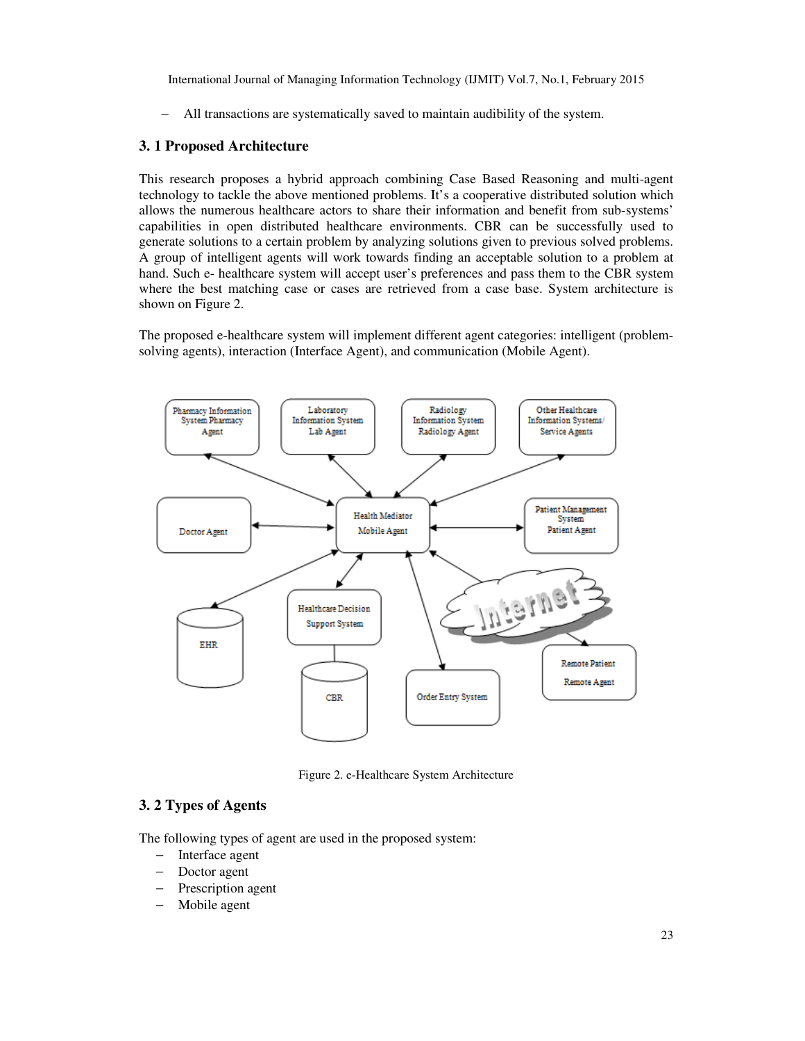− All transactions are systematically saved to maintain audibility of the system.

### **3. 1 Proposed Architecture**

This research proposes a hybrid approach combining Case Based Reasoning and multi-agent technology to tackle the above mentioned problems. It's a cooperative distributed solution which allows the numerous healthcare actors to share their information and benefit from sub-systems' capabilities in open distributed healthcare environments. CBR can be successfully used to generate solutions to a certain problem by analyzing solutions given to previous solved problems. A group of intelligent agents will work towards finding an acceptable solution to a problem at hand. Such e- healthcare system will accept user's preferences and pass them to the CBR system where the best matching case or cases are retrieved from a case base. System architecture is shown on Figure 2.

The proposed e-healthcare system will implement different agent categories: intelligent (problemsolving agents), interaction (Interface Agent), and communication (Mobile Agent).



Figure 2. e-Healthcare System Architecture

# **3. 2 Types of Agents**

The following types of agent are used in the proposed system:

- − Interface agent
- − Doctor agent
- − Prescription agent
- − Mobile agent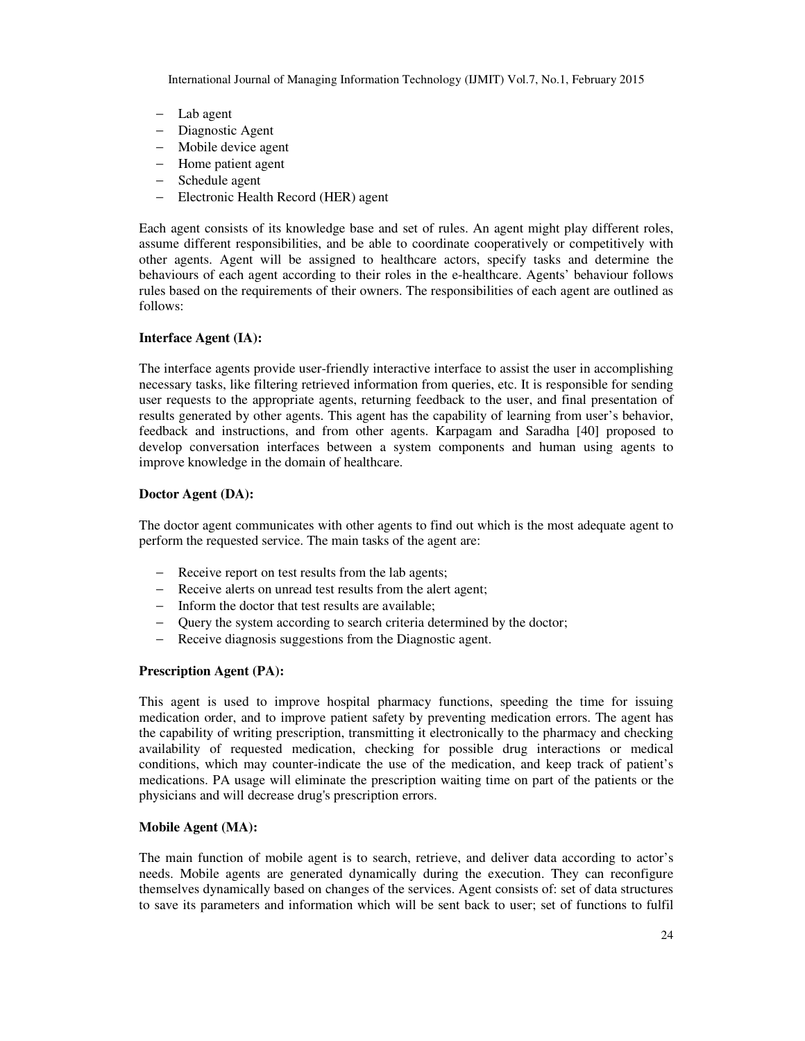- − Lab agent
- Diagnostic Agent
- Mobile device agent
- − Home patient agent
- Schedule agent
- − Electronic Health Record (HER) agent

Each agent consists of its knowledge base and set of rules. An agent might play different roles, assume different responsibilities, and be able to coordinate cooperatively or competitively with other agents. Agent will be assigned to healthcare actors, specify tasks and determine the behaviours of each agent according to their roles in the e-healthcare. Agents' behaviour follows rules based on the requirements of their owners. The responsibilities of each agent are outlined as follows:

#### **Interface Agent (IA):**

The interface agents provide user-friendly interactive interface to assist the user in accomplishing necessary tasks, like filtering retrieved information from queries, etc. It is responsible for sending user requests to the appropriate agents, returning feedback to the user, and final presentation of results generated by other agents. This agent has the capability of learning from user's behavior, feedback and instructions, and from other agents. Karpagam and Saradha [40] proposed to develop conversation interfaces between a system components and human using agents to improve knowledge in the domain of healthcare.

#### **Doctor Agent (DA):**

The doctor agent communicates with other agents to find out which is the most adequate agent to perform the requested service. The main tasks of the agent are:

- − Receive report on test results from the lab agents;
- − Receive alerts on unread test results from the alert agent;
- − Inform the doctor that test results are available;
- − Query the system according to search criteria determined by the doctor;
- − Receive diagnosis suggestions from the Diagnostic agent.

### **Prescription Agent (PA):**

This agent is used to improve hospital pharmacy functions, speeding the time for issuing medication order, and to improve patient safety by preventing medication errors. The agent has the capability of writing prescription, transmitting it electronically to the pharmacy and checking availability of requested medication, checking for possible drug interactions or medical conditions, which may counter-indicate the use of the medication, and keep track of patient's medications. PA usage will eliminate the prescription waiting time on part of the patients or the physicians and will decrease drug's prescription errors.

#### **Mobile Agent (MA):**

The main function of mobile agent is to search, retrieve, and deliver data according to actor's needs. Mobile agents are generated dynamically during the execution. They can reconfigure themselves dynamically based on changes of the services. Agent consists of: set of data structures to save its parameters and information which will be sent back to user; set of functions to fulfil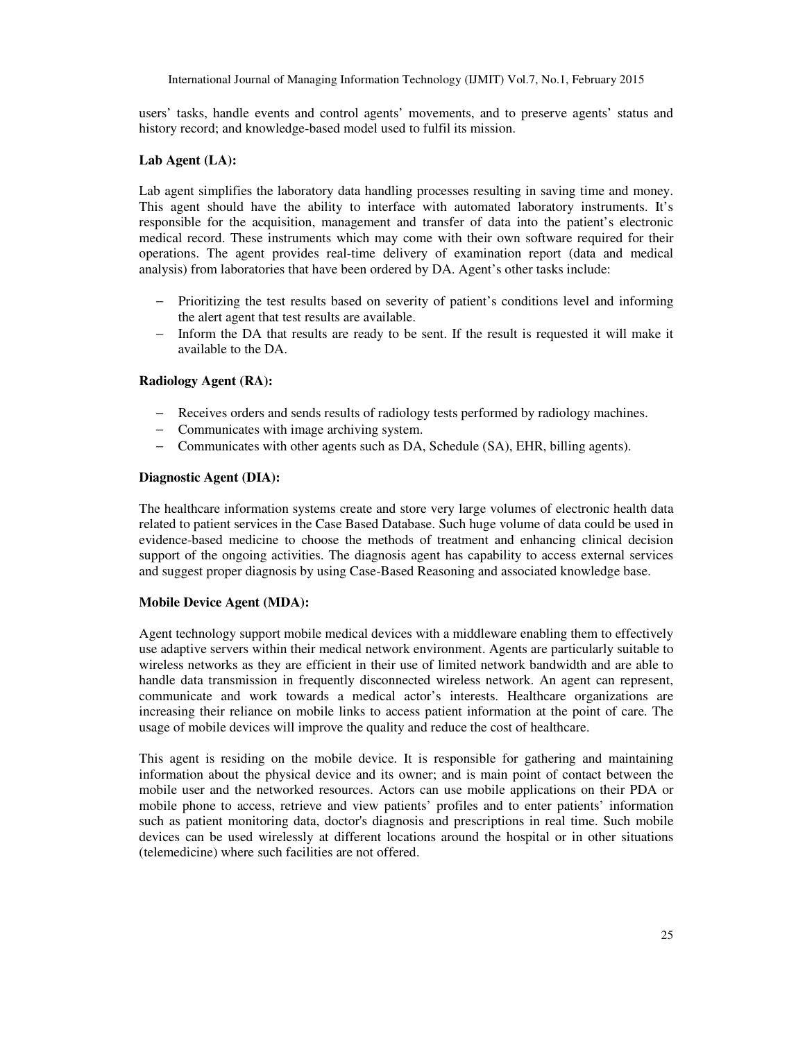users' tasks, handle events and control agents' movements, and to preserve agents' status and history record; and knowledge-based model used to fulfil its mission.

#### **Lab Agent (LA):**

Lab agent simplifies the laboratory data handling processes resulting in saving time and money. This agent should have the ability to interface with automated laboratory instruments. It's responsible for the acquisition, management and transfer of data into the patient's electronic medical record. These instruments which may come with their own software required for their operations. The agent provides real-time delivery of examination report (data and medical analysis) from laboratories that have been ordered by DA. Agent's other tasks include:

- − Prioritizing the test results based on severity of patient's conditions level and informing the alert agent that test results are available.
- − Inform the DA that results are ready to be sent. If the result is requested it will make it available to the DA.

#### **Radiology Agent (RA):**

- − Receives orders and sends results of radiology tests performed by radiology machines.
- − Communicates with image archiving system.
- − Communicates with other agents such as DA, Schedule (SA), EHR, billing agents).

#### **Diagnostic Agent (DIA):**

The healthcare information systems create and store very large volumes of electronic health data related to patient services in the Case Based Database. Such huge volume of data could be used in evidence-based medicine to choose the methods of treatment and enhancing clinical decision support of the ongoing activities. The diagnosis agent has capability to access external services and suggest proper diagnosis by using Case-Based Reasoning and associated knowledge base.

#### **Mobile Device Agent (MDA):**

Agent technology support mobile medical devices with a middleware enabling them to effectively use adaptive servers within their medical network environment. Agents are particularly suitable to wireless networks as they are efficient in their use of limited network bandwidth and are able to handle data transmission in frequently disconnected wireless network. An agent can represent, communicate and work towards a medical actor's interests. Healthcare organizations are increasing their reliance on mobile links to access patient information at the point of care. The usage of mobile devices will improve the quality and reduce the cost of healthcare.

This agent is residing on the mobile device. It is responsible for gathering and maintaining information about the physical device and its owner; and is main point of contact between the mobile user and the networked resources. Actors can use mobile applications on their PDA or mobile phone to access, retrieve and view patients' profiles and to enter patients' information such as patient monitoring data, doctor's diagnosis and prescriptions in real time. Such mobile devices can be used wirelessly at different locations around the hospital or in other situations (telemedicine) where such facilities are not offered.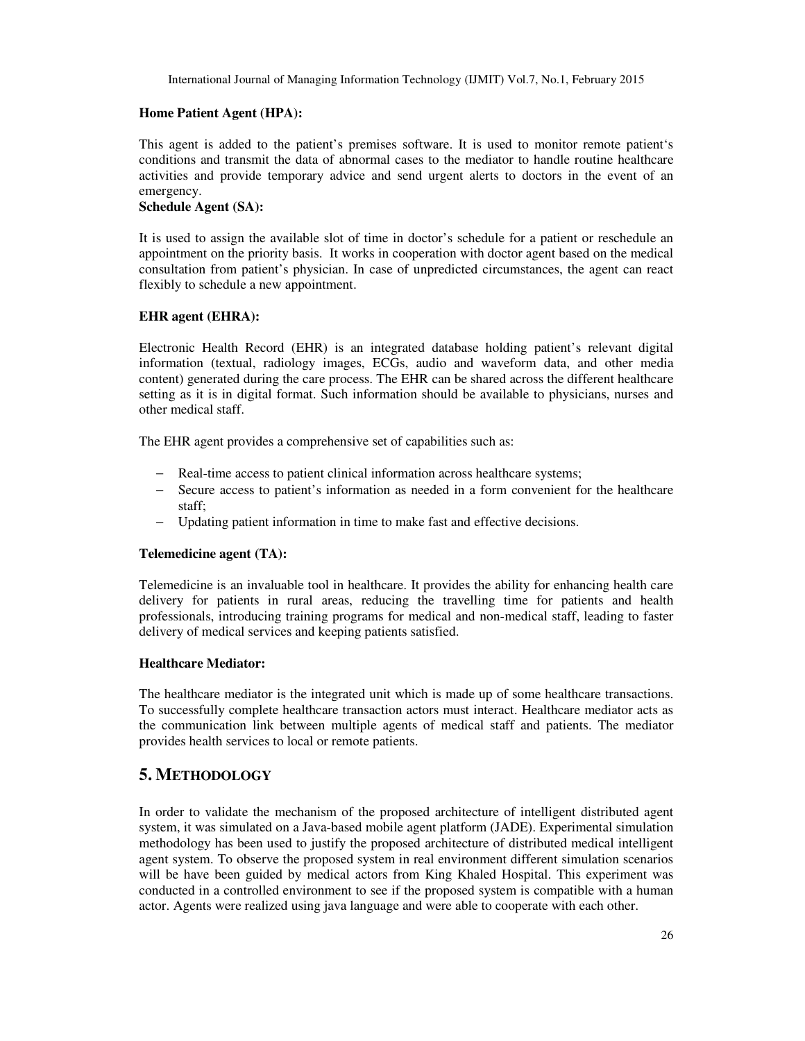#### **Home Patient Agent (HPA):**

This agent is added to the patient's premises software. It is used to monitor remote patient's conditions and transmit the data of abnormal cases to the mediator to handle routine healthcare activities and provide temporary advice and send urgent alerts to doctors in the event of an emergency.

#### **Schedule Agent (SA):**

It is used to assign the available slot of time in doctor's schedule for a patient or reschedule an appointment on the priority basis. It works in cooperation with doctor agent based on the medical consultation from patient's physician. In case of unpredicted circumstances, the agent can react flexibly to schedule a new appointment.

#### **EHR agent (EHRA):**

Electronic Health Record (EHR) is an integrated database holding patient's relevant digital information (textual, radiology images, ECGs, audio and waveform data, and other media content) generated during the care process. The EHR can be shared across the different healthcare setting as it is in digital format. Such information should be available to physicians, nurses and other medical staff.

The EHR agent provides a comprehensive set of capabilities such as:

- − Real-time access to patient clinical information across healthcare systems;
- − Secure access to patient's information as needed in a form convenient for the healthcare staff;
- − Updating patient information in time to make fast and effective decisions.

#### **Telemedicine agent (TA):**

Telemedicine is an invaluable tool in healthcare. It provides the ability for enhancing health care delivery for patients in rural areas, reducing the travelling time for patients and health professionals, introducing training programs for medical and non-medical staff, leading to faster delivery of medical services and keeping patients satisfied.

#### **Healthcare Mediator:**

The healthcare mediator is the integrated unit which is made up of some healthcare transactions. To successfully complete healthcare transaction actors must interact. Healthcare mediator acts as the communication link between multiple agents of medical staff and patients. The mediator provides health services to local or remote patients.

# **5. METHODOLOGY**

In order to validate the mechanism of the proposed architecture of intelligent distributed agent system, it was simulated on a Java-based mobile agent platform (JADE). Experimental simulation methodology has been used to justify the proposed architecture of distributed medical intelligent agent system. To observe the proposed system in real environment different simulation scenarios will be have been guided by medical actors from King Khaled Hospital. This experiment was conducted in a controlled environment to see if the proposed system is compatible with a human actor. Agents were realized using java language and were able to cooperate with each other.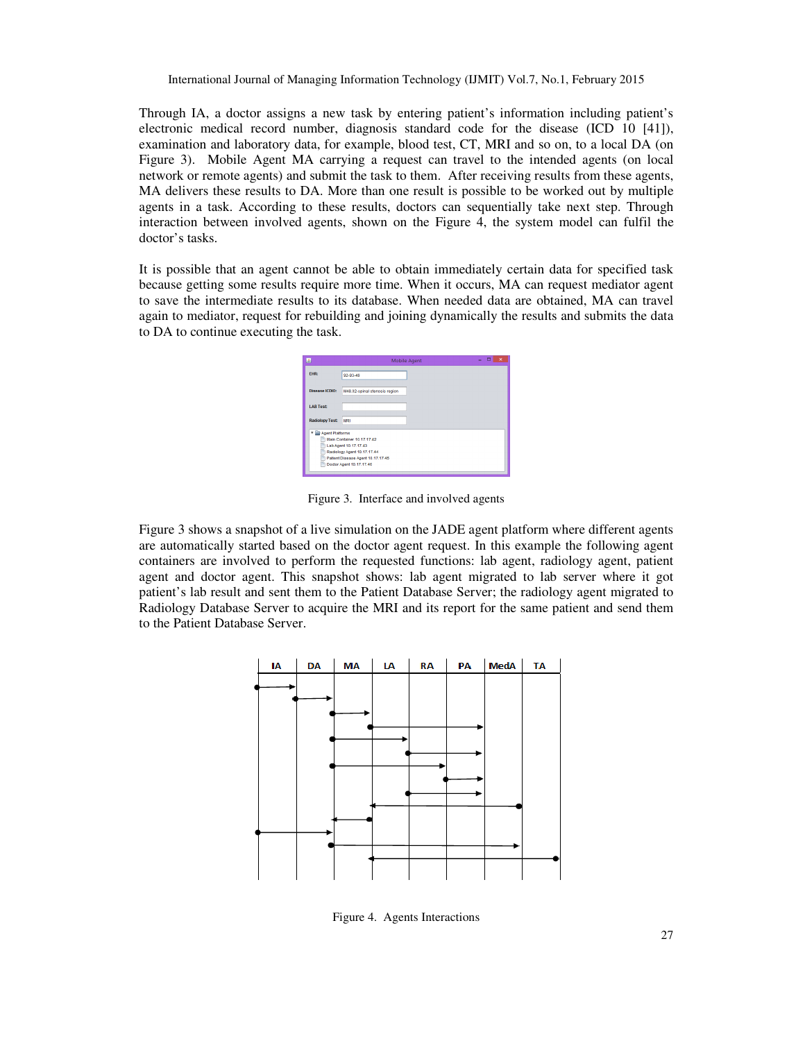Through IA, a doctor assigns a new task by entering patient's information including patient's electronic medical record number, diagnosis standard code for the disease (ICD 10 [41]), examination and laboratory data, for example, blood test, CT, MRI and so on, to a local DA (on Figure 3). Mobile Agent MA carrying a request can travel to the intended agents (on local network or remote agents) and submit the task to them. After receiving results from these agents, MA delivers these results to DA. More than one result is possible to be worked out by multiple agents in a task. According to these results, doctors can sequentially take next step. Through interaction between involved agents, shown on the Figure 4, the system model can fulfil the doctor's tasks.

It is possible that an agent cannot be able to obtain immediately certain data for specified task because getting some results require more time. When it occurs, MA can request mediator agent to save the intermediate results to its database. When needed data are obtained, MA can travel again to mediator, request for rebuilding and joining dynamically the results and submits the data to DA to continue executing the task.

| 圖                                                                                                                                                                                  | <b>Mobile Agent</b>           | $\mathbf x$<br>Е |
|------------------------------------------------------------------------------------------------------------------------------------------------------------------------------------|-------------------------------|------------------|
| EHR:                                                                                                                                                                               | 92-93-49                      |                  |
| Disease ICDIO:                                                                                                                                                                     | M48.02-spinal stenosis region |                  |
| <b>LAB Test:</b>                                                                                                                                                                   |                               |                  |
| <b>Radiolopy Test:</b>                                                                                                                                                             | <b>MRI</b>                    |                  |
| <b>Agent Platforms</b><br>÷<br>Main Container 10.17.17.42<br>Lab Agent 10.17.17.43<br>Radiology Agent 10.17.17.44<br>Patient Disease Agent 10.17.17.45<br>Doctor Agent 10.17.17.46 |                               |                  |

Figure 3. Interface and involved agents

Figure 3 shows a snapshot of a live simulation on the JADE agent platform where different agents are automatically started based on the doctor agent request. In this example the following agent containers are involved to perform the requested functions: lab agent, radiology agent, patient agent and doctor agent. This snapshot shows: lab agent migrated to lab server where it got patient's lab result and sent them to the Patient Database Server; the radiology agent migrated to Radiology Database Server to acquire the MRI and its report for the same patient and send them to the Patient Database Server.



Figure 4. Agents Interactions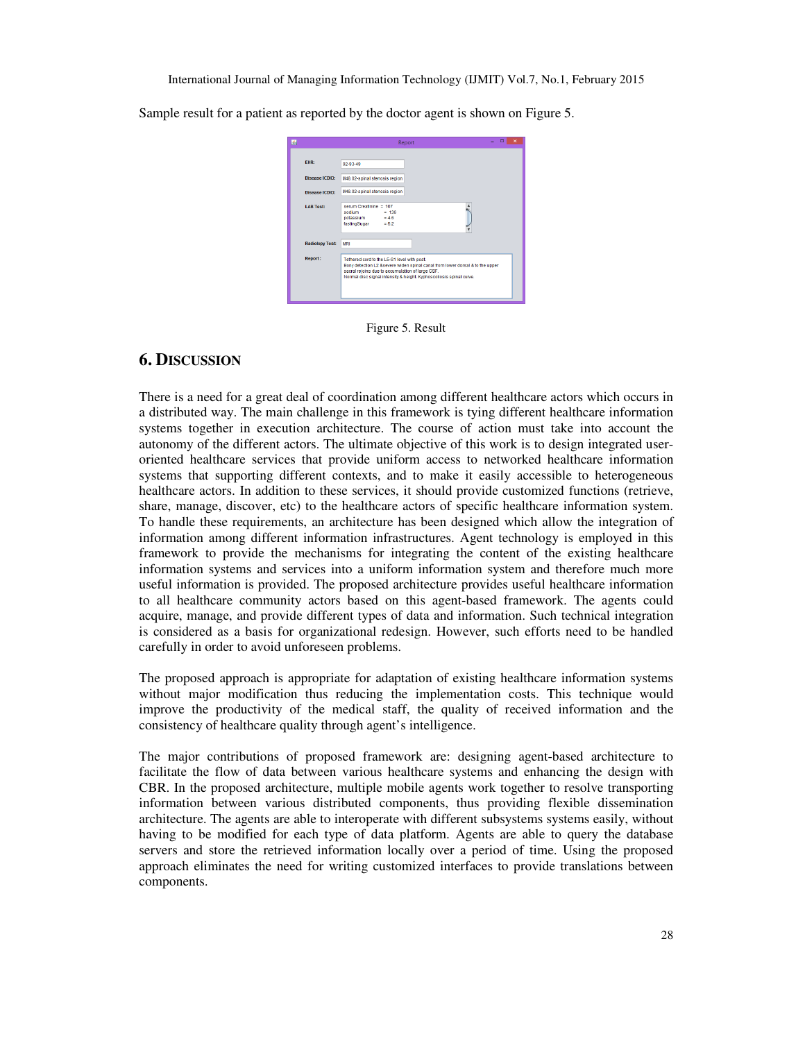Sample result for a patient as reported by the doctor agent is shown on Figure 5.

| 國 |                        | ▭<br>$\mathsf{x}$<br>Report                                                                                                                                                                                                                             |  |
|---|------------------------|---------------------------------------------------------------------------------------------------------------------------------------------------------------------------------------------------------------------------------------------------------|--|
|   | <b>EHR:</b>            | 92-93-49                                                                                                                                                                                                                                                |  |
|   | Disease ICDIO:         | M48.02-spinal stenosis region                                                                                                                                                                                                                           |  |
|   | Disease ICDIO:         | M48.02-spinal stenosis region                                                                                                                                                                                                                           |  |
|   | <b>LAB Test:</b>       | serum Creatinine = 107<br>$= 136$<br>sodium<br>potassium<br>$= 4.6$<br>fastingSugar<br>$= 5.2$                                                                                                                                                          |  |
|   | <b>Radiolopy Test:</b> | MRI                                                                                                                                                                                                                                                     |  |
|   | Report:                | Tethered cord to the L5-S1 level with post.<br>Bony detection L2 &severe widen spinal canal from lower dorsal & to the upper<br>sacral rejoins due to accumulation of large CSF.<br>Normal disc signal intensity & height. Kyphoscoliosis spinal curve. |  |

Figure 5. Result

# **6. DISCUSSION**

There is a need for a great deal of coordination among different healthcare actors which occurs in a distributed way. The main challenge in this framework is tying different healthcare information systems together in execution architecture. The course of action must take into account the autonomy of the different actors. The ultimate objective of this work is to design integrated useroriented healthcare services that provide uniform access to networked healthcare information systems that supporting different contexts, and to make it easily accessible to heterogeneous healthcare actors. In addition to these services, it should provide customized functions (retrieve, share, manage, discover, etc) to the healthcare actors of specific healthcare information system. To handle these requirements, an architecture has been designed which allow the integration of information among different information infrastructures. Agent technology is employed in this framework to provide the mechanisms for integrating the content of the existing healthcare information systems and services into a uniform information system and therefore much more useful information is provided. The proposed architecture provides useful healthcare information to all healthcare community actors based on this agent-based framework. The agents could acquire, manage, and provide different types of data and information. Such technical integration is considered as a basis for organizational redesign. However, such efforts need to be handled carefully in order to avoid unforeseen problems.

The proposed approach is appropriate for adaptation of existing healthcare information systems without major modification thus reducing the implementation costs. This technique would improve the productivity of the medical staff, the quality of received information and the consistency of healthcare quality through agent's intelligence.

The major contributions of proposed framework are: designing agent-based architecture to facilitate the flow of data between various healthcare systems and enhancing the design with CBR. In the proposed architecture, multiple mobile agents work together to resolve transporting information between various distributed components, thus providing flexible dissemination architecture. The agents are able to interoperate with different subsystems systems easily, without having to be modified for each type of data platform. Agents are able to query the database servers and store the retrieved information locally over a period of time. Using the proposed approach eliminates the need for writing customized interfaces to provide translations between components.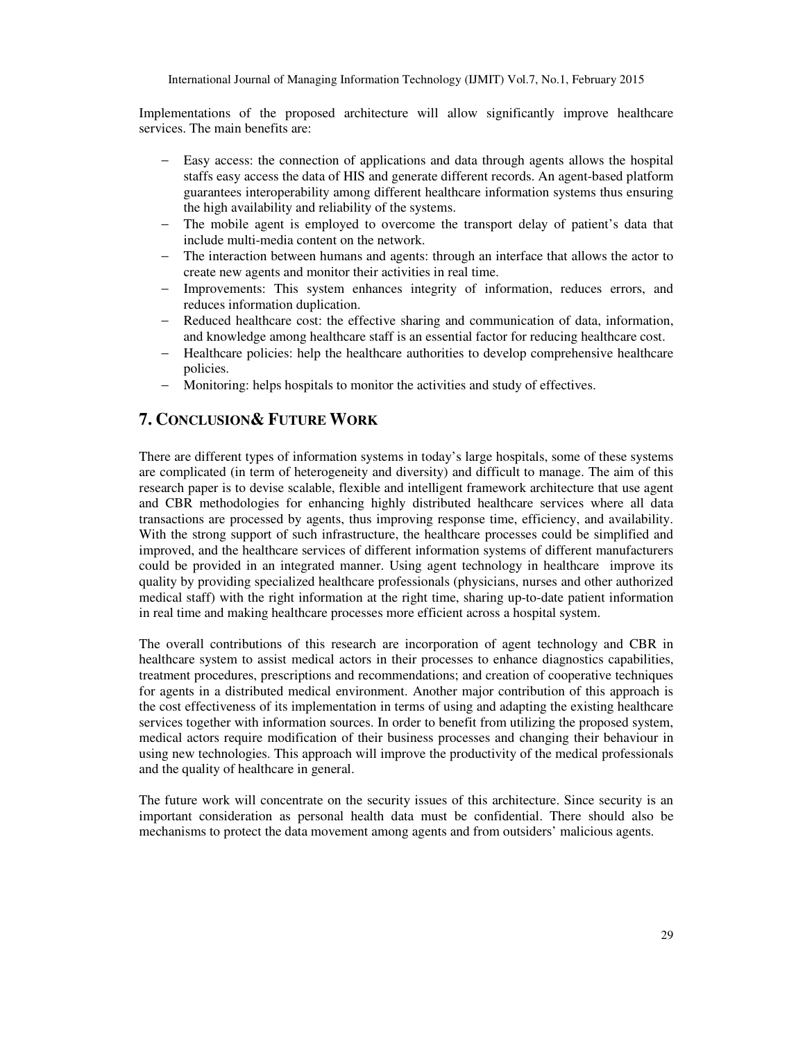Implementations of the proposed architecture will allow significantly improve healthcare services. The main benefits are:

- Easy access: the connection of applications and data through agents allows the hospital staffs easy access the data of HIS and generate different records. An agent-based platform guarantees interoperability among different healthcare information systems thus ensuring the high availability and reliability of the systems.
- − The mobile agent is employed to overcome the transport delay of patient's data that include multi-media content on the network.
- − The interaction between humans and agents: through an interface that allows the actor to create new agents and monitor their activities in real time.
- − Improvements: This system enhances integrity of information, reduces errors, and reduces information duplication.
- − Reduced healthcare cost: the effective sharing and communication of data, information, and knowledge among healthcare staff is an essential factor for reducing healthcare cost.
- − Healthcare policies: help the healthcare authorities to develop comprehensive healthcare policies.
- Monitoring: helps hospitals to monitor the activities and study of effectives.

# **7. CONCLUSION& FUTURE WORK**

There are different types of information systems in today's large hospitals, some of these systems are complicated (in term of heterogeneity and diversity) and difficult to manage. The aim of this research paper is to devise scalable, flexible and intelligent framework architecture that use agent and CBR methodologies for enhancing highly distributed healthcare services where all data transactions are processed by agents, thus improving response time, efficiency, and availability. With the strong support of such infrastructure, the healthcare processes could be simplified and improved, and the healthcare services of different information systems of different manufacturers could be provided in an integrated manner. Using agent technology in healthcare improve its quality by providing specialized healthcare professionals (physicians, nurses and other authorized medical staff) with the right information at the right time, sharing up-to-date patient information in real time and making healthcare processes more efficient across a hospital system.

The overall contributions of this research are incorporation of agent technology and CBR in healthcare system to assist medical actors in their processes to enhance diagnostics capabilities, treatment procedures, prescriptions and recommendations; and creation of cooperative techniques for agents in a distributed medical environment. Another major contribution of this approach is the cost effectiveness of its implementation in terms of using and adapting the existing healthcare services together with information sources. In order to benefit from utilizing the proposed system, medical actors require modification of their business processes and changing their behaviour in using new technologies. This approach will improve the productivity of the medical professionals and the quality of healthcare in general.

The future work will concentrate on the security issues of this architecture. Since security is an important consideration as personal health data must be confidential. There should also be mechanisms to protect the data movement among agents and from outsiders' malicious agents.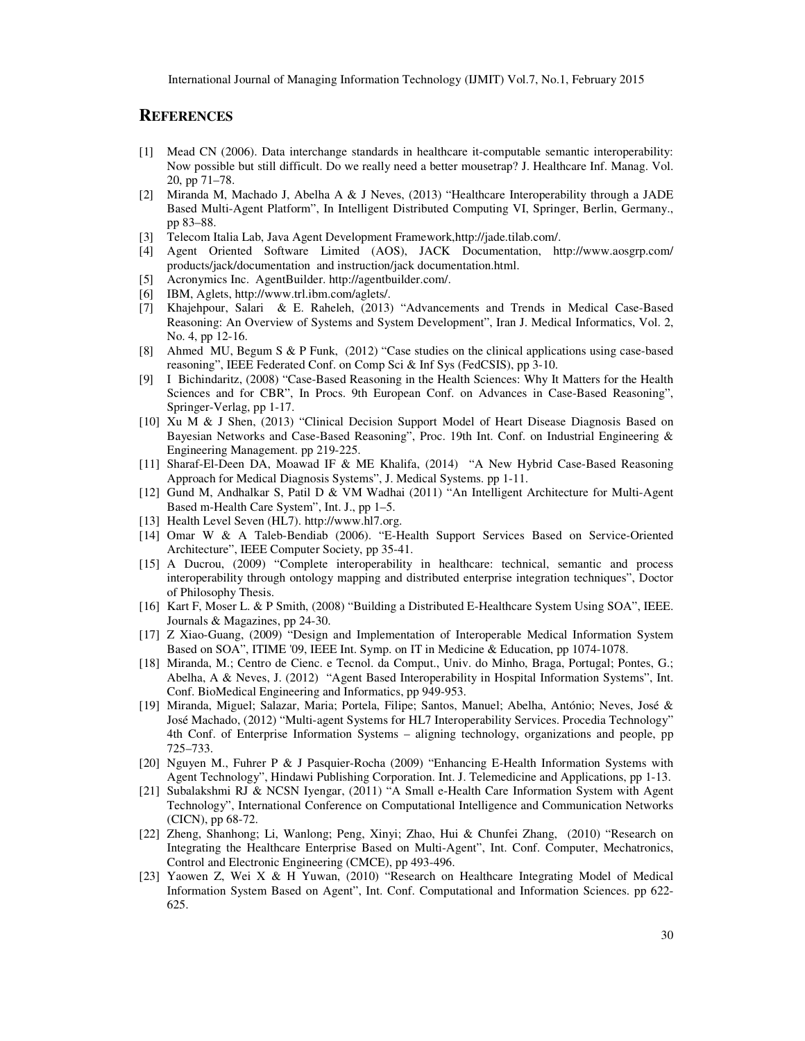#### **REFERENCES**

- [1] Mead CN (2006). Data interchange standards in healthcare it-computable semantic interoperability: Now possible but still difficult. Do we really need a better mousetrap? J. Healthcare Inf. Manag. Vol. 20, pp 71–78.
- [2] Miranda M, Machado J, Abelha A & J Neves, (2013) "Healthcare Interoperability through a JADE Based Multi-Agent Platform", In Intelligent Distributed Computing VI, Springer, Berlin, Germany., pp 83–88.
- [3] Telecom Italia Lab, Java Agent Development Framework,http://jade.tilab.com/.
- [4] Agent Oriented Software Limited (AOS), JACK Documentation, http://www.aosgrp.com/ products/jack/documentation and instruction/jack documentation.html.
- [5] Acronymics Inc. AgentBuilder. http://agentbuilder.com/.
- [6] IBM, Aglets, http://www.trl.ibm.com/aglets/.
- [7] Khajehpour, Salari & E. Raheleh, (2013) "Advancements and Trends in Medical Case-Based Reasoning: An Overview of Systems and System Development", Iran J. Medical Informatics, Vol. 2, No. 4, pp 12-16.
- [8] Ahmed MU, Begum S & P Funk, (2012) "Case studies on the clinical applications using case-based reasoning", IEEE Federated Conf. on Comp Sci & Inf Sys (FedCSIS), pp 3-10.
- [9] I Bichindaritz, (2008) "Case-Based Reasoning in the Health Sciences: Why It Matters for the Health Sciences and for CBR", In Procs. 9th European Conf. on Advances in Case-Based Reasoning", Springer-Verlag, pp 1-17.
- [10] Xu M & J Shen, (2013) "Clinical Decision Support Model of Heart Disease Diagnosis Based on Bayesian Networks and Case-Based Reasoning", Proc. 19th Int. Conf. on Industrial Engineering & Engineering Management. pp 219-225.
- [11] Sharaf-El-Deen DA, Moawad IF & ME Khalifa, (2014) "A New Hybrid Case-Based Reasoning Approach for Medical Diagnosis Systems", J. Medical Systems. pp 1-11.
- [12] Gund M, Andhalkar S, Patil D & VM Wadhai (2011) "An Intelligent Architecture for Multi-Agent Based m-Health Care System", Int. J., pp 1–5.
- [13] Health Level Seven (HL7). http://www.hl7.org.
- [14] Omar W & A Taleb-Bendiab (2006). "E-Health Support Services Based on Service-Oriented Architecture", IEEE Computer Society, pp 35-41.
- [15] A Ducrou, (2009) "Complete interoperability in healthcare: technical, semantic and process interoperability through ontology mapping and distributed enterprise integration techniques", Doctor of Philosophy Thesis.
- [16] Kart F, Moser L. & P Smith, (2008) "Building a Distributed E-Healthcare System Using SOA", IEEE. Journals & Magazines, pp 24-30.
- [17] Z Xiao-Guang, (2009) "Design and Implementation of Interoperable Medical Information System Based on SOA", ITIME '09, IEEE Int. Symp. on IT in Medicine & Education, pp 1074-1078.
- [18] Miranda, M.; Centro de Cienc. e Tecnol. da Comput., Univ. do Minho, Braga, Portugal; Pontes, G.; Abelha, A & Neves, J. (2012) "Agent Based Interoperability in Hospital Information Systems", Int. Conf. BioMedical Engineering and Informatics, pp 949-953.
- [19] Miranda, Miguel; Salazar, Maria; Portela, Filipe; Santos, Manuel; Abelha, António; Neves, José & José Machado, (2012) "Multi-agent Systems for HL7 Interoperability Services. Procedia Technology" 4th Conf. of Enterprise Information Systems – aligning technology, organizations and people, pp 725–733.
- [20] Nguyen M., Fuhrer P & J Pasquier-Rocha (2009) "Enhancing E-Health Information Systems with Agent Technology", Hindawi Publishing Corporation. Int. J. Telemedicine and Applications, pp 1-13.
- [21] Subalakshmi RJ & NCSN Iyengar, (2011) "A Small e-Health Care Information System with Agent Technology", International Conference on Computational Intelligence and Communication Networks (CICN), pp 68-72.
- [22] Zheng, Shanhong; Li, Wanlong; Peng, Xinyi; Zhao, Hui & Chunfei Zhang, (2010) "Research on Integrating the Healthcare Enterprise Based on Multi-Agent", Int. Conf. Computer, Mechatronics, Control and Electronic Engineering (CMCE), pp 493-496.
- [23] Yaowen Z, Wei X & H Yuwan, (2010) "Research on Healthcare Integrating Model of Medical Information System Based on Agent", Int. Conf. Computational and Information Sciences. pp 622- 625.